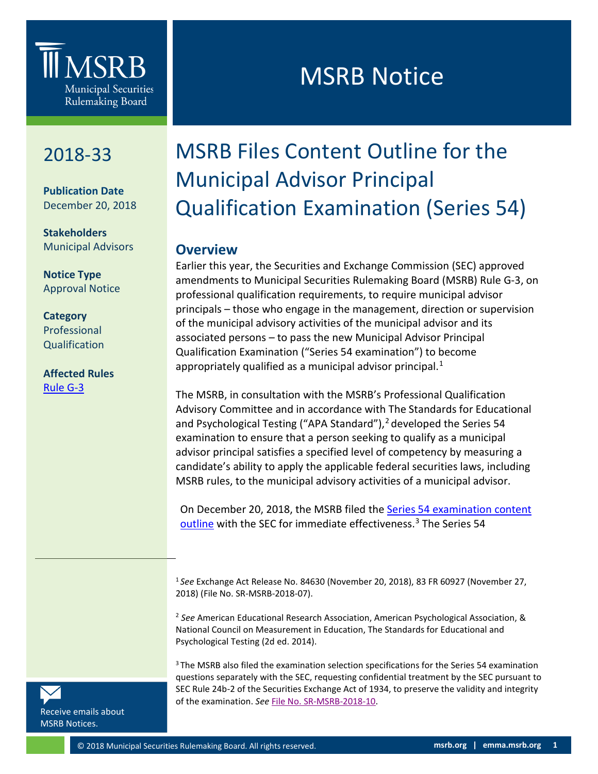## **III** MSRB **Municipal Securities** Rulemaking Board

### 2018-33

**0**

**Publication Date** December 20, 2018

**Stakeholders** Municipal Advisors

**Notice Type** Approval Notice

#### **Category** Professional Qualification

**Affected Rules** [Rule G-3](http://msrb.org/Rules-and-Interpretations/MSRB-Rules/General/Rule-G-3.aspx)

# **MSRB Notice**

## MSRB Files Content Outline for the Municipal Advisor Principal Qualification Examination (Series 54)

### **Overview**

Earlier this year, the Securities and Exchange Commission (SEC) approved amendments to Municipal Securities Rulemaking Board (MSRB) Rule G-3, on professional qualification requirements, to require municipal advisor principals – those who engage in the management, direction or supervision of the municipal advisory activities of the municipal advisor and its associated persons – to pass the new Municipal Advisor Principal Qualification Examination ("Series 54 examination") to become appropriately qualified as a municipal advisor principal. $<sup>1</sup>$  $<sup>1</sup>$  $<sup>1</sup>$ </sup>

The MSRB, in consultation with the MSRB's Professional Qualification Advisory Committee and in accordance with The Standards for Educational and Psychological Testing ("APA Standard"), [2](#page-0-1) developed the Series 54 examination to ensure that a person seeking to qualify as a municipal advisor principal satisfies a specified level of competency by measuring a candidate's ability to apply the applicable federal securities laws, including MSRB rules, to the municipal advisory activities of a municipal advisor.

On December 20, 2018, the MSRB filed the Series 54 examination content [outline](http://www.msrb.org/%7E/media/Files/Resources/MSRB-Series%2054-Content-Outline.ashx) with the SEC for immediate effectiveness.<sup>[3](#page-0-2)</sup> The Series 54

<sup>1</sup> *See* Exchange Act Release No. 84630 (November 20, 2018), 83 FR 60927 (November 27, 2018) (File No. SR-MSRB-2018-07).

<sup>2</sup> *See* American Educational Research Association, American Psychological Association, & National Council on Measurement in Education, The Standards for Educational and Psychological Testing (2d ed. 2014).

<sup>3</sup> The MSRB also filed the examination selection specifications for the Series 54 examination questions separately with the SEC, requesting confidential treatment by the SEC pursuant to SEC Rule 24b-2 of the Securities Exchange Act of 1934, to preserve the validity and integrity of the examination. *See* [File No. SR-MSRB-2018-10.](http://msrb.org/%7E/media/Files/SEC-Filings/2018/MSRB-2018-10.ashx?)

<span id="page-0-2"></span>[Receive emails about](https://public.govdelivery.com/accounts/VAORGMSRB/subscriber/new?topic_id=VAORGMSRB_9)  [MSRB Notices.](https://public.govdelivery.com/accounts/VAORGMSRB/subscriber/new?topic_id=VAORGMSRB_9)

<span id="page-0-1"></span><span id="page-0-0"></span> $\overline{a}$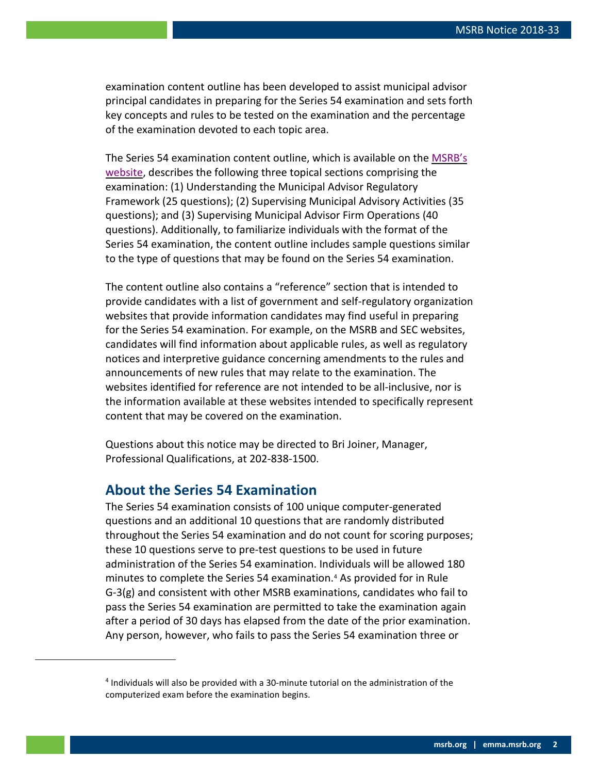examination content outline has been developed to assist municipal advisor principal candidates in preparing for the Series 54 examination and sets forth key concepts and rules to be tested on the examination and the percentage of the examination devoted to each topic area.

The Series 54 examination content outline, which is available on the [MSRB's](http://www.msrb.org/Regulated-Entities/Professional-Qualification.aspx)  [website,](http://www.msrb.org/Regulated-Entities/Professional-Qualification.aspx) describes the following three topical sections comprising the examination: (1) Understanding the Municipal Advisor Regulatory Framework (25 questions); (2) Supervising Municipal Advisory Activities (35 questions); and (3) Supervising Municipal Advisor Firm Operations (40 questions). Additionally, to familiarize individuals with the format of the Series 54 examination, the content outline includes sample questions similar to the type of questions that may be found on the Series 54 examination.

The content outline also contains a "reference" section that is intended to provide candidates with a list of government and self-regulatory organization websites that provide information candidates may find useful in preparing for the Series 54 examination. For example, on the MSRB and SEC websites, candidates will find information about applicable rules, as well as regulatory notices and interpretive guidance concerning amendments to the rules and announcements of new rules that may relate to the examination. The websites identified for reference are not intended to be all-inclusive, nor is the information available at these websites intended to specifically represent content that may be covered on the examination.

Questions about this notice may be directed to Bri Joiner, Manager, Professional Qualifications, at 202-838-1500.

### **About the Series 54 Examination**

<span id="page-1-0"></span> $\overline{a}$ 

The Series 54 examination consists of 100 unique computer-generated questions and an additional 10 questions that are randomly distributed throughout the Series 54 examination and do not count for scoring purposes; these 10 questions serve to pre-test questions to be used in future administration of the Series 54 examination. Individuals will be allowed 180 minutes to complete the Series 54 examination.[4](#page-1-0) As provided for in Rule G-3(g) and consistent with other MSRB examinations, candidates who fail to pass the Series 54 examination are permitted to take the examination again after a period of 30 days has elapsed from the date of the prior examination. Any person, however, who fails to pass the Series 54 examination three or

<sup>4</sup> Individuals will also be provided with a 30-minute tutorial on the administration of the computerized exam before the examination begins.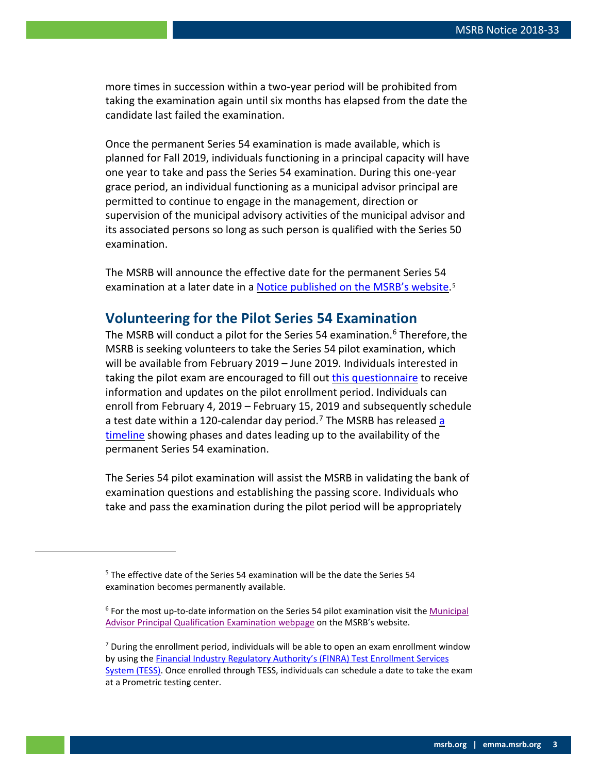more times in succession within a two-year period will be prohibited from taking the examination again until six months has elapsed from the date the candidate last failed the examination.

Once the permanent Series 54 examination is made available, which is planned for Fall 2019, individuals functioning in a principal capacity will have one year to take and pass the Series 54 examination. During this one-year grace period, an individual functioning as a municipal advisor principal are permitted to continue to engage in the management, direction or supervision of the municipal advisory activities of the municipal advisor and its associated persons so long as such person is qualified with the Series 50 examination.

The MSRB will announce the effective date for the permanent Series 54 examination at a later date in [a Notice published on the MSRB's website.](http://msrb.org/Rules-and-Interpretations/Regulatory-Notices.aspx)<sup>[5](#page-2-0)</sup>

### **Volunteering for the Pilot Series 54 Examination**

The MSRB will conduct a pilot for the Series 54 examination.<sup>[6](#page-2-1)</sup> Therefore, the MSRB is seeking volunteers to take the Series 54 pilot examination, which will be available from February 2019 – June 2019. Individuals interested in taking the pilot exam are encouraged to fill out [this questionnaire](https://www.surveymonkey.com/r/36V92KW) to receive information and updates on the pilot enrollment period. Individuals can enroll from February 4, 2019 – February 15, 2019 and subsequently schedule a test date within a 120-calendar day period.<sup>[7](#page-2-2)</sup> The MSRB has released a [timeline](http://www.msrb.org/%7E/media/Files/Resources/Series-54-The-Year-Ahead-Timeline.ashx) showing phases and dates leading up to the availability of the permanent Series 54 examination.

The Series 54 pilot examination will assist the MSRB in validating the bank of examination questions and establishing the passing score. Individuals who take and pass the examination during the pilot period will be appropriately

<span id="page-2-2"></span><span id="page-2-1"></span><span id="page-2-0"></span>-

<sup>&</sup>lt;sup>5</sup> The effective date of the Series 54 examination will be the date the Series 54 examination becomes permanently available.

<sup>&</sup>lt;sup>6</sup> For the most up-to-date information on the Series 54 pilot examination visit the Municipal [Advisor Principal Qualification Examination webpage](http://msrb.org/Regulated-Entities/Professional-Qualification/Series-50.aspx) on the MSRB's website.

 $<sup>7</sup>$  During the enrollment period, individuals will be able to open an exam enrollment window</sup> by using th[e Financial Industry Regulatory Authority's \(FINRA\) Test Enrollment Services](http://www.finra.org/industry/enroll-series-exam)  [System \(TESS\).](http://www.finra.org/industry/enroll-series-exam) Once enrolled through TESS, individuals can schedule a date to take the exam at a Prometric testing center.